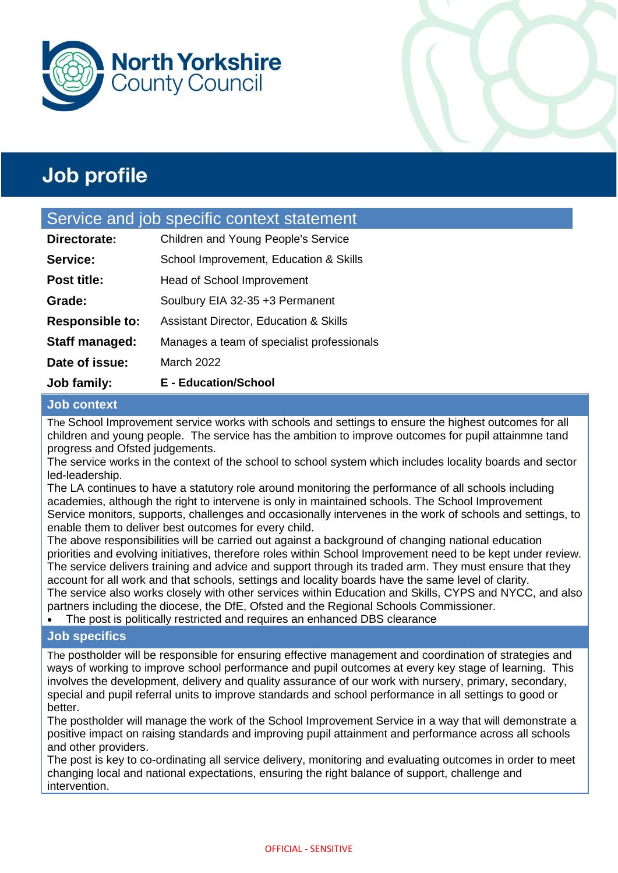



### Service and job specific context statement

| Job family:            | <b>E</b> - Education/School                       |
|------------------------|---------------------------------------------------|
| Date of issue:         | <b>March 2022</b>                                 |
| <b>Staff managed:</b>  | Manages a team of specialist professionals        |
| <b>Responsible to:</b> | <b>Assistant Director, Education &amp; Skills</b> |
| Grade:                 | Soulbury EIA 32-35 +3 Permanent                   |
| Post title:            | <b>Head of School Improvement</b>                 |
| Service:               | School Improvement, Education & Skills            |
| Directorate:           | Children and Young People's Service               |

### **Job context**

The School Improvement service works with schools and settings to ensure the highest outcomes for all children and young people. The service has the ambition to improve outcomes for pupil attainmne tand progress and Ofsted judgements.

The service works in the context of the school to school system which includes locality boards and sector led-leadership.

The LA continues to have a statutory role around monitoring the performance of all schools including academies, although the right to intervene is only in maintained schools. The School Improvement Service monitors, supports, challenges and occasionally intervenes in the work of schools and settings, to enable them to deliver best outcomes for every child.

The above responsibilities will be carried out against a background of changing national education priorities and evolving initiatives, therefore roles within School Improvement need to be kept under review. The service delivers training and advice and support through its traded arm. They must ensure that they account for all work and that schools, settings and locality boards have the same level of clarity. The service also works closely with other services within Education and Skills, CYPS and NYCC, and also partners including the diocese, the DfE, Ofsted and the Regional Schools Commissioner.

• The post is politically restricted and requires an enhanced DBS clearance

### **Job specifics**

The postholder will be responsible for ensuring effective management and coordination of strategies and ways of working to improve school performance and pupil outcomes at every key stage of learning. This involves the development, delivery and quality assurance of our work with nursery, primary, secondary, special and pupil referral units to improve standards and school performance in all settings to good or better.

The postholder will manage the work of the School Improvement Service in a way that will demonstrate a positive impact on raising standards and improving pupil attainment and performance across all schools and other providers.

The post is key to co-ordinating all service delivery, monitoring and evaluating outcomes in order to meet changing local and national expectations, ensuring the right balance of support, challenge and intervention.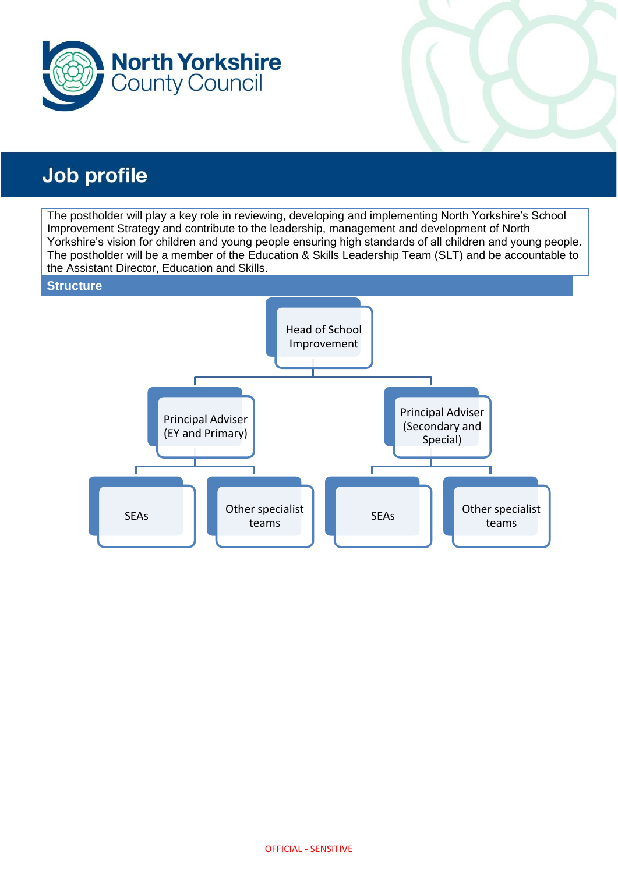

The postholder will play a key role in reviewing, developing and implementing North Yorkshire's School Improvement Strategy and contribute to the leadership, management and development of North Yorkshire's vision for children and young people ensuring high standards of all children and young people. The postholder will be a member of the Education & Skills Leadership Team (SLT) and be accountable to the Assistant Director, Education and Skills.

### **Structure**

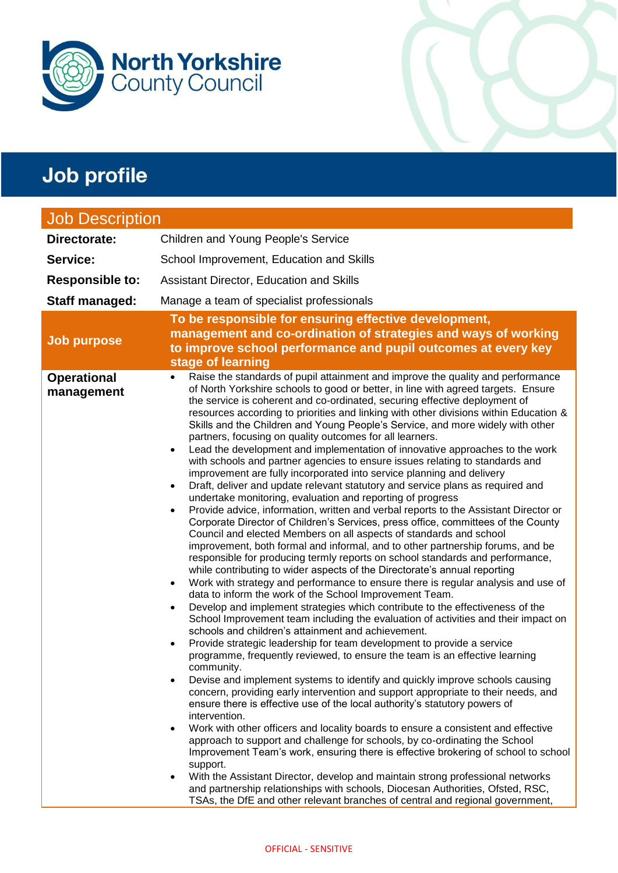

| <b>Job Description</b>           |                                                                                                                                                                                                                                                                                                                                                                                                                                                                                                                                                                                                                                                                                                                                                                                                                                                                                                                                                                                                                                                                                                                                                                                                                                                                                                                                                                                                                                                                                                                                                                                                                                                                                                                                                                                                                                                                                                                                                                                                                                                                                                                                                                                                                                                                                                                                                                                                                                                                                                                                                                                                                                                                                                                                                                                                                                                                           |
|----------------------------------|---------------------------------------------------------------------------------------------------------------------------------------------------------------------------------------------------------------------------------------------------------------------------------------------------------------------------------------------------------------------------------------------------------------------------------------------------------------------------------------------------------------------------------------------------------------------------------------------------------------------------------------------------------------------------------------------------------------------------------------------------------------------------------------------------------------------------------------------------------------------------------------------------------------------------------------------------------------------------------------------------------------------------------------------------------------------------------------------------------------------------------------------------------------------------------------------------------------------------------------------------------------------------------------------------------------------------------------------------------------------------------------------------------------------------------------------------------------------------------------------------------------------------------------------------------------------------------------------------------------------------------------------------------------------------------------------------------------------------------------------------------------------------------------------------------------------------------------------------------------------------------------------------------------------------------------------------------------------------------------------------------------------------------------------------------------------------------------------------------------------------------------------------------------------------------------------------------------------------------------------------------------------------------------------------------------------------------------------------------------------------------------------------------------------------------------------------------------------------------------------------------------------------------------------------------------------------------------------------------------------------------------------------------------------------------------------------------------------------------------------------------------------------------------------------------------------------------------------------------------------------|
| Directorate:                     | Children and Young People's Service                                                                                                                                                                                                                                                                                                                                                                                                                                                                                                                                                                                                                                                                                                                                                                                                                                                                                                                                                                                                                                                                                                                                                                                                                                                                                                                                                                                                                                                                                                                                                                                                                                                                                                                                                                                                                                                                                                                                                                                                                                                                                                                                                                                                                                                                                                                                                                                                                                                                                                                                                                                                                                                                                                                                                                                                                                       |
| Service:                         | School Improvement, Education and Skills                                                                                                                                                                                                                                                                                                                                                                                                                                                                                                                                                                                                                                                                                                                                                                                                                                                                                                                                                                                                                                                                                                                                                                                                                                                                                                                                                                                                                                                                                                                                                                                                                                                                                                                                                                                                                                                                                                                                                                                                                                                                                                                                                                                                                                                                                                                                                                                                                                                                                                                                                                                                                                                                                                                                                                                                                                  |
| <b>Responsible to:</b>           | Assistant Director, Education and Skills                                                                                                                                                                                                                                                                                                                                                                                                                                                                                                                                                                                                                                                                                                                                                                                                                                                                                                                                                                                                                                                                                                                                                                                                                                                                                                                                                                                                                                                                                                                                                                                                                                                                                                                                                                                                                                                                                                                                                                                                                                                                                                                                                                                                                                                                                                                                                                                                                                                                                                                                                                                                                                                                                                                                                                                                                                  |
| Staff managed:                   | Manage a team of specialist professionals                                                                                                                                                                                                                                                                                                                                                                                                                                                                                                                                                                                                                                                                                                                                                                                                                                                                                                                                                                                                                                                                                                                                                                                                                                                                                                                                                                                                                                                                                                                                                                                                                                                                                                                                                                                                                                                                                                                                                                                                                                                                                                                                                                                                                                                                                                                                                                                                                                                                                                                                                                                                                                                                                                                                                                                                                                 |
| <b>Job purpose</b>               | To be responsible for ensuring effective development,<br>management and co-ordination of strategies and ways of working<br>to improve school performance and pupil outcomes at every key<br>stage of learning                                                                                                                                                                                                                                                                                                                                                                                                                                                                                                                                                                                                                                                                                                                                                                                                                                                                                                                                                                                                                                                                                                                                                                                                                                                                                                                                                                                                                                                                                                                                                                                                                                                                                                                                                                                                                                                                                                                                                                                                                                                                                                                                                                                                                                                                                                                                                                                                                                                                                                                                                                                                                                                             |
| <b>Operational</b><br>management | Raise the standards of pupil attainment and improve the quality and performance<br>$\bullet$<br>of North Yorkshire schools to good or better, in line with agreed targets. Ensure<br>the service is coherent and co-ordinated, securing effective deployment of<br>resources according to priorities and linking with other divisions within Education &<br>Skills and the Children and Young People's Service, and more widely with other<br>partners, focusing on quality outcomes for all learners.<br>Lead the development and implementation of innovative approaches to the work<br>$\bullet$<br>with schools and partner agencies to ensure issues relating to standards and<br>improvement are fully incorporated into service planning and delivery<br>Draft, deliver and update relevant statutory and service plans as required and<br>$\bullet$<br>undertake monitoring, evaluation and reporting of progress<br>Provide advice, information, written and verbal reports to the Assistant Director or<br>$\bullet$<br>Corporate Director of Children's Services, press office, committees of the County<br>Council and elected Members on all aspects of standards and school<br>improvement, both formal and informal, and to other partnership forums, and be<br>responsible for producing termly reports on school standards and performance,<br>while contributing to wider aspects of the Directorate's annual reporting<br>Work with strategy and performance to ensure there is regular analysis and use of<br>$\bullet$<br>data to inform the work of the School Improvement Team.<br>Develop and implement strategies which contribute to the effectiveness of the<br>$\bullet$<br>School Improvement team including the evaluation of activities and their impact on<br>schools and children's attainment and achievement.<br>Provide strategic leadership for team development to provide a service<br>$\bullet$<br>programme, frequently reviewed, to ensure the team is an effective learning<br>community.<br>Devise and implement systems to identify and quickly improve schools causing<br>$\bullet$<br>concern, providing early intervention and support appropriate to their needs, and<br>ensure there is effective use of the local authority's statutory powers of<br>intervention.<br>Work with other officers and locality boards to ensure a consistent and effective<br>$\bullet$<br>approach to support and challenge for schools, by co-ordinating the School<br>Improvement Team's work, ensuring there is effective brokering of school to school<br>support.<br>With the Assistant Director, develop and maintain strong professional networks<br>$\bullet$<br>and partnership relationships with schools, Diocesan Authorities, Ofsted, RSC,<br>TSAs, the DfE and other relevant branches of central and regional government, |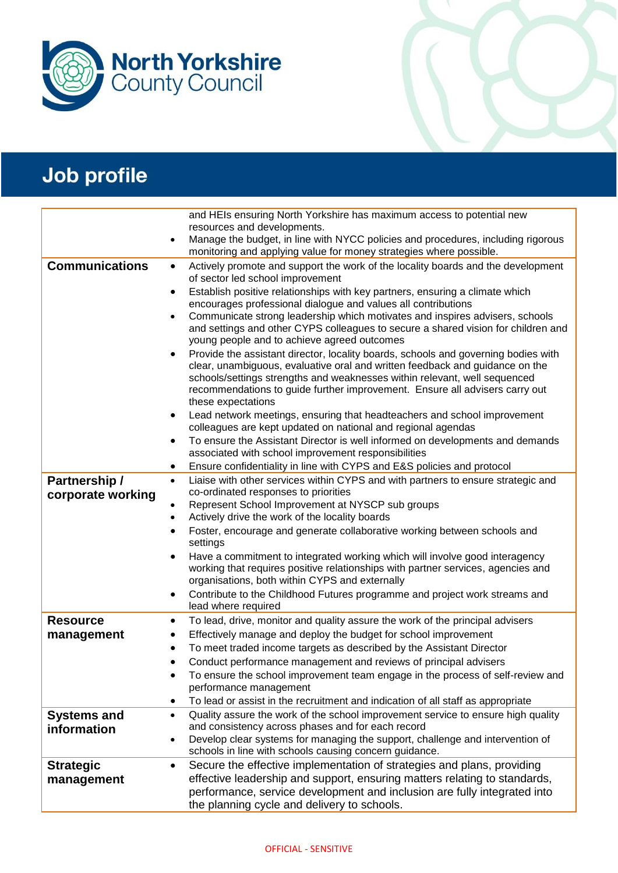

|                                   | and HEIs ensuring North Yorkshire has maximum access to potential new                                                                                                                                                                                                                                                                                             |
|-----------------------------------|-------------------------------------------------------------------------------------------------------------------------------------------------------------------------------------------------------------------------------------------------------------------------------------------------------------------------------------------------------------------|
|                                   | resources and developments.                                                                                                                                                                                                                                                                                                                                       |
|                                   | Manage the budget, in line with NYCC policies and procedures, including rigorous<br>$\bullet$<br>monitoring and applying value for money strategies where possible.                                                                                                                                                                                               |
| <b>Communications</b>             | Actively promote and support the work of the locality boards and the development<br>$\bullet$<br>of sector led school improvement                                                                                                                                                                                                                                 |
|                                   | Establish positive relationships with key partners, ensuring a climate which<br>$\bullet$<br>encourages professional dialogue and values all contributions                                                                                                                                                                                                        |
|                                   | Communicate strong leadership which motivates and inspires advisers, schools<br>$\bullet$<br>and settings and other CYPS colleagues to secure a shared vision for children and<br>young people and to achieve agreed outcomes                                                                                                                                     |
|                                   | Provide the assistant director, locality boards, schools and governing bodies with<br>$\bullet$<br>clear, unambiguous, evaluative oral and written feedback and guidance on the<br>schools/settings strengths and weaknesses within relevant, well sequenced<br>recommendations to guide further improvement. Ensure all advisers carry out<br>these expectations |
|                                   | Lead network meetings, ensuring that headteachers and school improvement<br>٠<br>colleagues are kept updated on national and regional agendas                                                                                                                                                                                                                     |
|                                   | To ensure the Assistant Director is well informed on developments and demands<br>$\bullet$<br>associated with school improvement responsibilities                                                                                                                                                                                                                 |
|                                   | Ensure confidentiality in line with CYPS and E&S policies and protocol<br>٠                                                                                                                                                                                                                                                                                       |
| Partnership /                     | Liaise with other services within CYPS and with partners to ensure strategic and<br>$\bullet$                                                                                                                                                                                                                                                                     |
| corporate working                 | co-ordinated responses to priorities<br>Represent School Improvement at NYSCP sub groups                                                                                                                                                                                                                                                                          |
|                                   | ٠<br>Actively drive the work of the locality boards<br>$\bullet$                                                                                                                                                                                                                                                                                                  |
|                                   | Foster, encourage and generate collaborative working between schools and<br>$\bullet$                                                                                                                                                                                                                                                                             |
|                                   | settings                                                                                                                                                                                                                                                                                                                                                          |
|                                   | Have a commitment to integrated working which will involve good interagency<br>$\bullet$<br>working that requires positive relationships with partner services, agencies and<br>organisations, both within CYPS and externally                                                                                                                                    |
|                                   | Contribute to the Childhood Futures programme and project work streams and<br>٠<br>lead where required                                                                                                                                                                                                                                                            |
| <b>Resource</b>                   | To lead, drive, monitor and quality assure the work of the principal advisers<br>٠                                                                                                                                                                                                                                                                                |
| management                        | Effectively manage and deploy the budget for school improvement<br>٠                                                                                                                                                                                                                                                                                              |
|                                   | To meet traded income targets as described by the Assistant Director<br>٠                                                                                                                                                                                                                                                                                         |
|                                   | Conduct performance management and reviews of principal advisers<br>$\bullet$                                                                                                                                                                                                                                                                                     |
|                                   | To ensure the school improvement team engage in the process of self-review and                                                                                                                                                                                                                                                                                    |
|                                   | performance management                                                                                                                                                                                                                                                                                                                                            |
|                                   | To lead or assist in the recruitment and indication of all staff as appropriate<br>٠<br>Quality assure the work of the school improvement service to ensure high quality<br>$\bullet$                                                                                                                                                                             |
| <b>Systems and</b><br>information | and consistency across phases and for each record                                                                                                                                                                                                                                                                                                                 |
|                                   | Develop clear systems for managing the support, challenge and intervention of<br>$\bullet$                                                                                                                                                                                                                                                                        |
|                                   | schools in line with schools causing concern guidance.                                                                                                                                                                                                                                                                                                            |
| <b>Strategic</b>                  | Secure the effective implementation of strategies and plans, providing<br>$\bullet$                                                                                                                                                                                                                                                                               |
| management                        | effective leadership and support, ensuring matters relating to standards,                                                                                                                                                                                                                                                                                         |
|                                   | performance, service development and inclusion are fully integrated into<br>the planning cycle and delivery to schools.                                                                                                                                                                                                                                           |
|                                   |                                                                                                                                                                                                                                                                                                                                                                   |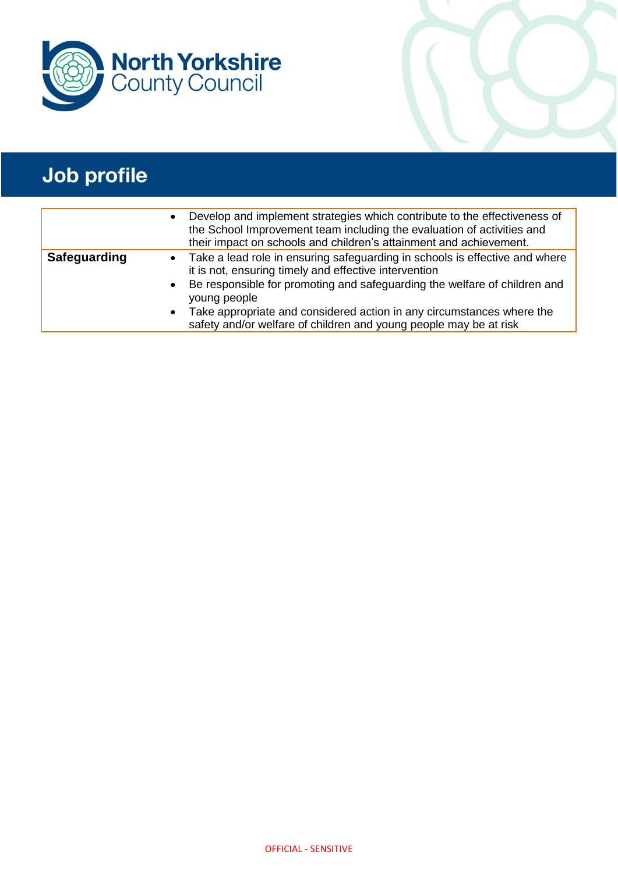

|              | $\bullet$              | Develop and implement strategies which contribute to the effectiveness of<br>the School Improvement team including the evaluation of activities and<br>their impact on schools and children's attainment and achievement.                                                                                                                                                         |
|--------------|------------------------|-----------------------------------------------------------------------------------------------------------------------------------------------------------------------------------------------------------------------------------------------------------------------------------------------------------------------------------------------------------------------------------|
| Safeguarding | $\bullet$<br>$\bullet$ | • Take a lead role in ensuring safeguarding in schools is effective and where<br>it is not, ensuring timely and effective intervention<br>Be responsible for promoting and safeguarding the welfare of children and<br>young people<br>Take appropriate and considered action in any circumstances where the<br>safety and/or welfare of children and young people may be at risk |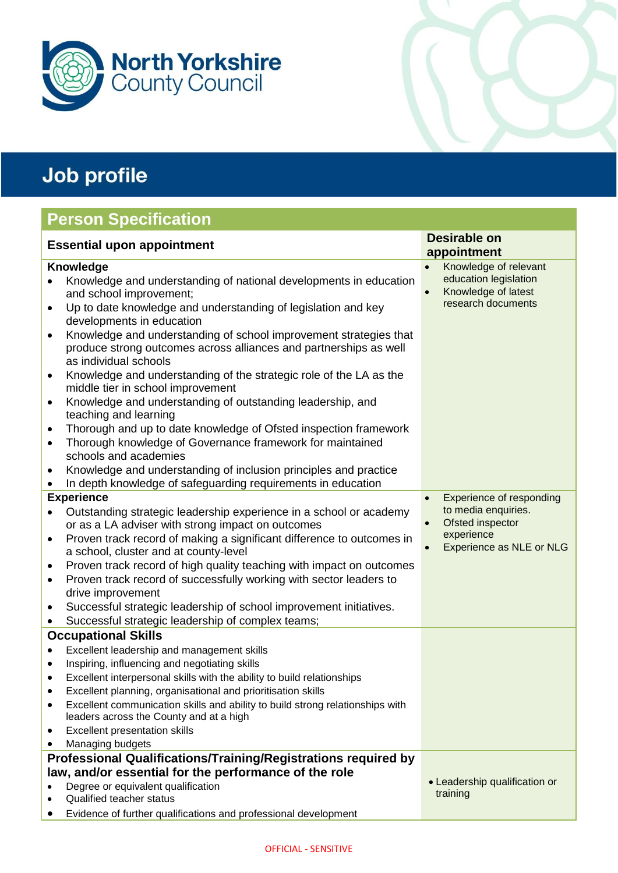

## **Person Specification**

| <b>Essential upon appointment</b>                                                                                                                                                                                                                                                                                                                                                                                                                                                                                                                                                                                                                                                                                                                                                                                                                                                        | <b>Desirable on</b><br>appointment                                                       |
|------------------------------------------------------------------------------------------------------------------------------------------------------------------------------------------------------------------------------------------------------------------------------------------------------------------------------------------------------------------------------------------------------------------------------------------------------------------------------------------------------------------------------------------------------------------------------------------------------------------------------------------------------------------------------------------------------------------------------------------------------------------------------------------------------------------------------------------------------------------------------------------|------------------------------------------------------------------------------------------|
| <b>Knowledge</b>                                                                                                                                                                                                                                                                                                                                                                                                                                                                                                                                                                                                                                                                                                                                                                                                                                                                         | Knowledge of relevant<br>$\bullet$                                                       |
| Knowledge and understanding of national developments in education<br>and school improvement;<br>Up to date knowledge and understanding of legislation and key<br>$\bullet$<br>developments in education<br>Knowledge and understanding of school improvement strategies that<br>$\bullet$<br>produce strong outcomes across alliances and partnerships as well<br>as individual schools<br>Knowledge and understanding of the strategic role of the LA as the<br>$\bullet$<br>middle tier in school improvement<br>Knowledge and understanding of outstanding leadership, and<br>$\bullet$<br>teaching and learning<br>Thorough and up to date knowledge of Ofsted inspection framework<br>$\bullet$<br>Thorough knowledge of Governance framework for maintained<br>$\bullet$<br>schools and academies<br>Knowledge and understanding of inclusion principles and practice<br>$\bullet$ | education legislation<br>Knowledge of latest<br>research documents                       |
| In depth knowledge of safeguarding requirements in education                                                                                                                                                                                                                                                                                                                                                                                                                                                                                                                                                                                                                                                                                                                                                                                                                             |                                                                                          |
| <b>Experience</b>                                                                                                                                                                                                                                                                                                                                                                                                                                                                                                                                                                                                                                                                                                                                                                                                                                                                        | Experience of responding<br>$\bullet$                                                    |
| Outstanding strategic leadership experience in a school or academy<br>or as a LA adviser with strong impact on outcomes<br>Proven track record of making a significant difference to outcomes in<br>$\bullet$<br>a school, cluster and at county-level<br>Proven track record of high quality teaching with impact on outcomes<br>٠<br>Proven track record of successfully working with sector leaders to<br>$\bullet$<br>drive improvement<br>Successful strategic leadership of school improvement initiatives.<br>$\bullet$<br>Successful strategic leadership of complex teams;<br>$\bullet$                                                                                                                                                                                                                                                                                         | to media enquiries.<br>Ofsted inspector<br>experience<br><b>Experience as NLE or NLG</b> |
| <b>Occupational Skills</b>                                                                                                                                                                                                                                                                                                                                                                                                                                                                                                                                                                                                                                                                                                                                                                                                                                                               |                                                                                          |
| Excellent leadership and management skills<br>$\bullet$<br>Inspiring, influencing and negotiating skills<br>$\bullet$<br>Excellent interpersonal skills with the ability to build relationships<br>$\bullet$<br>Excellent planning, organisational and prioritisation skills<br>Excellent communication skills and ability to build strong relationships with<br>leaders across the County and at a high<br><b>Excellent presentation skills</b><br>Managing budgets                                                                                                                                                                                                                                                                                                                                                                                                                     |                                                                                          |
| Professional Qualifications/Training/Registrations required by                                                                                                                                                                                                                                                                                                                                                                                                                                                                                                                                                                                                                                                                                                                                                                                                                           |                                                                                          |
| law, and/or essential for the performance of the role<br>Degree or equivalent qualification<br><b>Qualified teacher status</b><br>Evidence of further qualifications and professional development                                                                                                                                                                                                                                                                                                                                                                                                                                                                                                                                                                                                                                                                                        | • Leadership qualification or<br>training                                                |